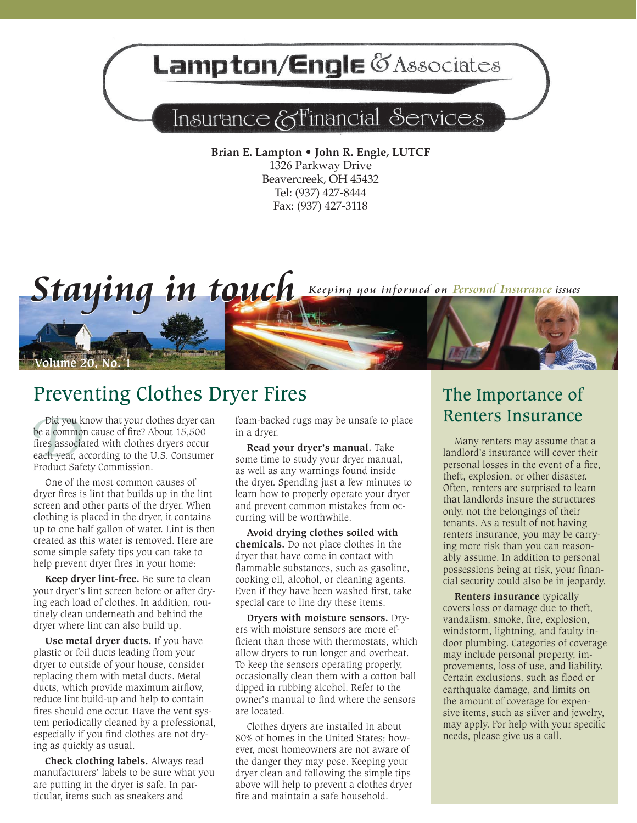# Lampton/Engle & Associates

## Insurance & Financial Services

**Brian E. Lampton • John R. Engle, LUTCF** 1326 Parkway Drive Beavercreek, OH 45432 Tel: (937) 427-8444 Fax: (937) 427-3118



### Preventing Clothes Dryer Fires

Did you k<br>be a common<br>fires associa<br>each year, a<br>Product Safe be a common cause of fire? About 15,500 fires associated with clothes dryers occur each year, according to the U.S. Consumer Product Safety Commission.

One of the most common causes of dryer fires is lint that builds up in the lint screen and other parts of the dryer. When clothing is placed in the dryer, it contains up to one half gallon of water. Lint is then created as this water is removed. Here are some simple safety tips you can take to help prevent dryer fires in your home:

**Keep dryer lint-free.** Be sure to clean your dryer's lint screen before or after drying each load of clothes. In addition, routinely clean underneath and behind the dryer where lint can also build up.

**Use metal dryer ducts.** If you have plastic or foil ducts leading from your dryer to outside of your house, consider replacing them with metal ducts. Metal ducts, which provide maximum airflow, reduce lint build-up and help to contain fires should one occur. Have the vent system periodically cleaned by a professional, especially if you find clothes are not drying as quickly as usual.

**Check clothing labels.** Always read manufacturers' labels to be sure what you are putting in the dryer is safe. In particular, items such as sneakers and

in a dryer.

**Read your dryer's manual.** Take some time to study your dryer manual, as well as any warnings found inside the dryer. Spending just a few minutes to learn how to properly operate your dryer and prevent common mistakes from occurring will be worthwhile.

**Avoid drying clothes soiled with chemicals.** Do not place clothes in the dryer that have come in contact with flammable substances, such as gasoline, cooking oil, alcohol, or cleaning agents. Even if they have been washed first, take special care to line dry these items.

**Dryers with moisture sensors.** Dryers with moisture sensors are more efficient than those with thermostats, which allow dryers to run longer and overheat. To keep the sensors operating properly, occasionally clean them with a cotton ball dipped in rubbing alcohol. Refer to the owner's manual to find where the sensors are located.

Clothes dryers are installed in about 80% of homes in the United States; however, most homeowners are not aware of the danger they may pose. Keeping your dryer clean and following the simple tips above will help to prevent a clothes dryer fire and maintain a safe household.

### The Importance of Did you know that your clothes dryer can foam-backed rugs may be unsafe to place  $\blacksquare$  Renters Insurance

Many renters may assume that a landlord's insurance will cover their personal losses in the event of a fire, theft, explosion, or other disaster. Often, renters are surprised to learn that landlords insure the structures only, not the belongings of their tenants. As a result of not having renters insurance, you may be carrying more risk than you can reasonably assume. In addition to personal possessions being at risk, your financial security could also be in jeopardy.

**Renters insurance** typically covers loss or damage due to theft, vandalism, smoke, fire, explosion, windstorm, lightning, and faulty indoor plumbing. Categories of coverage may include personal property, improvements, loss of use, and liability. Certain exclusions, such as flood or earthquake damage, and limits on the amount of coverage for expensive items, such as silver and jewelry, may apply. For help with your specific needs, please give us a call.